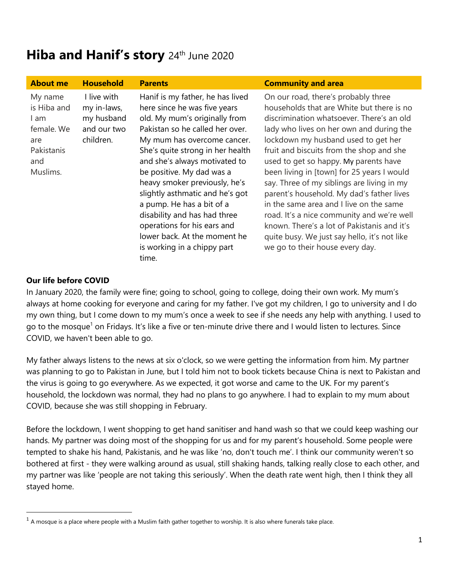# **Hiba and Hanif's story** 24th June 2020

| <b>About me</b>                                                                      | <b>Household</b>                                                     | <b>Parents</b>                                                                                                                                                                                                                                                                                                                                                                                                                                                                                                | <b>Community and area</b>                                                                                                                                                                                                                                                                                                                                                                                                                                                                                                                                                                                                                                                 |
|--------------------------------------------------------------------------------------|----------------------------------------------------------------------|---------------------------------------------------------------------------------------------------------------------------------------------------------------------------------------------------------------------------------------------------------------------------------------------------------------------------------------------------------------------------------------------------------------------------------------------------------------------------------------------------------------|---------------------------------------------------------------------------------------------------------------------------------------------------------------------------------------------------------------------------------------------------------------------------------------------------------------------------------------------------------------------------------------------------------------------------------------------------------------------------------------------------------------------------------------------------------------------------------------------------------------------------------------------------------------------------|
| My name<br>is Hiba and<br>I am<br>female. We<br>are<br>Pakistanis<br>and<br>Muslims. | I live with<br>my in-laws,<br>my husband<br>and our two<br>children. | Hanif is my father, he has lived<br>here since he was five years<br>old. My mum's originally from<br>Pakistan so he called her over.<br>My mum has overcome cancer.<br>She's quite strong in her health<br>and she's always motivated to<br>be positive. My dad was a<br>heavy smoker previously, he's<br>slightly asthmatic and he's got<br>a pump. He has a bit of a<br>disability and has had three<br>operations for his ears and<br>lower back. At the moment he<br>is working in a chippy part<br>time. | On our road, there's probably three<br>households that are White but there is no<br>discrimination whatsoever. There's an old<br>lady who lives on her own and during the<br>lockdown my husband used to get her<br>fruit and biscuits from the shop and she<br>used to get so happy. My parents have<br>been living in [town] for 25 years I would<br>say. Three of my siblings are living in my<br>parent's household. My dad's father lives<br>in the same area and I live on the same<br>road. It's a nice community and we're well<br>known. There's a lot of Pakistanis and it's<br>quite busy. We just say hello, it's not like<br>we go to their house every day. |

#### **Our life before COVID**

In January 2020, the family were fine; going to school, going to college, doing their own work. My mum's always at home cooking for everyone and caring for my father. I've got my children, I go to university and I do my own thing, but I come down to my mum's once a week to see if she needs any help with anything. I used to go to the mosque<sup>1</sup> on Fridays. It's like a five or ten-minute drive there and I would listen to lectures. Since COVID, we haven't been able to go.

My father always listens to the news at six o'clock, so we were getting the information from him. My partner was planning to go to Pakistan in June, but I told him not to book tickets because China is next to Pakistan and the virus is going to go everywhere. As we expected, it got worse and came to the UK. For my parent's household, the lockdown was normal, they had no plans to go anywhere. I had to explain to my mum about COVID, because she was still shopping in February.

Before the lockdown, I went shopping to get hand sanitiser and hand wash so that we could keep washing our hands. My partner was doing most of the shopping for us and for my parent's household. Some people were tempted to shake his hand, Pakistanis, and he was like 'no, don't touch me'. I think our community weren't so bothered at first - they were walking around as usual, still shaking hands, talking really close to each other, and my partner was like 'people are not taking this seriously'. When the death rate went high, then I think they all stayed home.

 $^{\rm 1}$  A mosque is a place where people with a Muslim faith gather together to worship. It is also where funerals take place.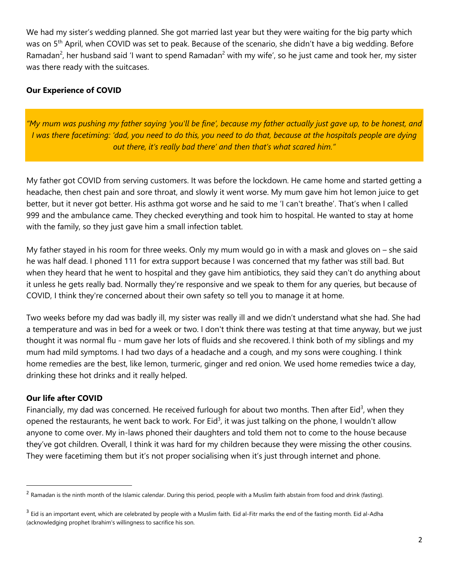We had my sister's wedding planned. She got married last year but they were waiting for the big party which was on 5<sup>th</sup> April, when COVID was set to peak. Because of the scenario, she didn't have a big wedding. Before Ramadan<sup>2</sup>, her husband said 'I want to spend Ramadan<sup>2</sup> with my wife', so he just came and took her, my sister was there ready with the suitcases.

## **Our Experience of COVID**

*"My mum was pushing my father saying 'you'll be fine', because my father actually just gave up, to be honest, and I was there facetiming: 'dad, you need to do this, you need to do that, because at the hospitals people are dying out there, it's really bad there' and then that's what scared him."*

My father got COVID from serving customers. It was before the lockdown. He came home and started getting a headache, then chest pain and sore throat, and slowly it went worse. My mum gave him hot lemon juice to get better, but it never got better. His asthma got worse and he said to me 'I can't breathe'. That's when I called 999 and the ambulance came. They checked everything and took him to hospital. He wanted to stay at home with the family, so they just gave him a small infection tablet.

My father stayed in his room for three weeks. Only my mum would go in with a mask and gloves on – she said he was half dead. I phoned 111 for extra support because I was concerned that my father was still bad. But when they heard that he went to hospital and they gave him antibiotics, they said they can't do anything about it unless he gets really bad. Normally they're responsive and we speak to them for any queries, but because of COVID, I think they're concerned about their own safety so tell you to manage it at home.

Two weeks before my dad was badly ill, my sister was really ill and we didn't understand what she had. She had a temperature and was in bed for a week or two. I don't think there was testing at that time anyway, but we just thought it was normal flu - mum gave her lots of fluids and she recovered. I think both of my siblings and my mum had mild symptoms. I had two days of a headache and a cough, and my sons were coughing. I think home remedies are the best, like lemon, turmeric, ginger and red onion. We used home remedies twice a day, drinking these hot drinks and it really helped.

## **Our life after COVID**

Financially, my dad was concerned. He received furlough for about two months. Then after Eid<sup>3</sup>, when they opened the restaurants, he went back to work. For Eid<sup>3</sup>, it was just talking on the phone, I wouldn't allow anyone to come over. My in-laws phoned their daughters and told them not to come to the house because they've got children. Overall, I think it was hard for my children because they were missing the other cousins. They were facetiming them but it's not proper socialising when it's just through internet and phone.

 $^2$  Ramadan is the ninth month of the Islamic calendar. During this period, people with a Muslim faith abstain from food and drink (fasting).

 $^3$  Eid is an important event, which are celebrated by people with a Muslim faith. Eid al-Fitr marks the end of the fasting month. Eid al-Adha (acknowledging prophet Ibrahim's willingness to sacrifice his son.